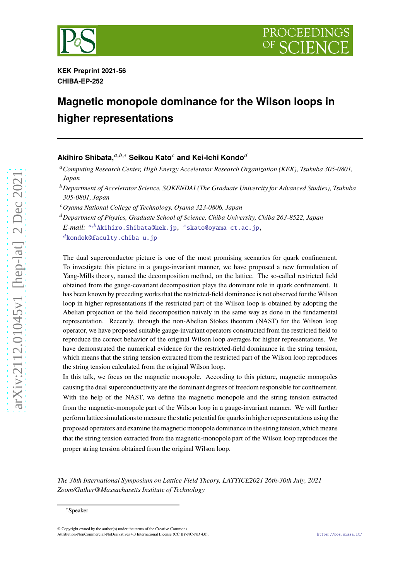



**KEK Preprint 2021-56 CHIBA-EP-252**

# **Magnetic monopole dominance for the Wilson loops in higher representations**

## **Akihiro Shibata,** $a,b,*$  Seikou Kato<sup>c</sup> and Kei-Ichi Kondo<sup>d</sup>

<sup>𝑎</sup>*Computing Research Center, High Energy Accelerator Research Organization (KEK), Tsukuba 305-0801, Japan*

<sup>𝑏</sup>*Department of Accelerator Science, SOKENDAI (The Graduate Univercity for Advanced Studies), Tsukuba 305-0801, Japan*

<sup>𝑐</sup>*Oyama National College of Technology, Oyama 323-0806, Japan*

<sup>𝑑</sup>*Department of Physics, Graduate School of Science, Chiba University, Chiba 263-8522, Japan E-mail: <sup>a,b</sup>*[Akihiro.Shibata@kek.jp,](mailto:$^{a,b}$Akihiro.Shibata@kek.jp) <sup>c</sup>[skato@oyama-ct.ac.jp,](mailto:$^{c}$skato@oyama-ct.ac.jp)  $d$ [kondok@faculty.chiba-u.jp](mailto:$^{d}$kondok@faculty.chiba-u.jp)

The dual superconductor picture is one of the most promising scenarios for quark confinement. To investigate this picture in a gauge-invariant manner, we have proposed a new formulation of Yang-Mills theory, named the decomposition method, on the lattice. The so-called restricted field obtained from the gauge-covariant decomposition plays the dominant role in quark confinement. It has been known by preceding works that the restricted-field dominance is not observed for the Wilson loop in higher representations if the restricted part of the Wilson loop is obtained by adopting the Abelian projection or the field decomposition naively in the same way as done in the fundamental representation. Recently, through the non-Abelian Stokes theorem (NAST) for the Wilson loop operator, we have proposed suitable gauge-invariant operators constructed from the restricted field to reproduce the correct behavior of the original Wilson loop averages for higher representations. We have demonstrated the numerical evidence for the restricted-field dominance in the string tension, which means that the string tension extracted from the restricted part of the Wilson loop reproduces the string tension calculated from the original Wilson loop.

In this talk, we focus on the magnetic monopole. According to this picture, magnetic monopoles causing the dual superconductivity are the dominant degrees of freedom responsible for confinement. With the help of the NAST, we define the magnetic monopole and the string tension extracted from the magnetic-monopole part of the Wilson loop in a gauge-invariant manner. We will further perform lattice simulations to measure the static potential for quarks in higher representations using the proposed operators and examine the magnetic monopole dominance in the string tension,which means that the string tension extracted from the magnetic-monopole part of the Wilson loop reproduces the proper string tension obtained from the original Wilson loop.

*The 38th International Symposium on Lattice Field Theory, LATTICE2021 26th-30th July, 2021 Zoom/Gather@Massachusetts Institute of Technology*

[arXiv:2112.01045v1 \[hep-lat\] 2 Dec 2021](http://arxiv.org/abs/2112.01045v1)

 $arXiv:2112.01045v1$  [hep-lat] 2 Dec 2021

<sup>∗</sup>Speaker

<sup>©</sup> Copyright owned by the author(s) under the terms of the Creative Commons Attribution-NonCommercial-NoDerivatives 4.0 International License (CC BY-NC-ND 4.0). <https://pos.sissa.it/>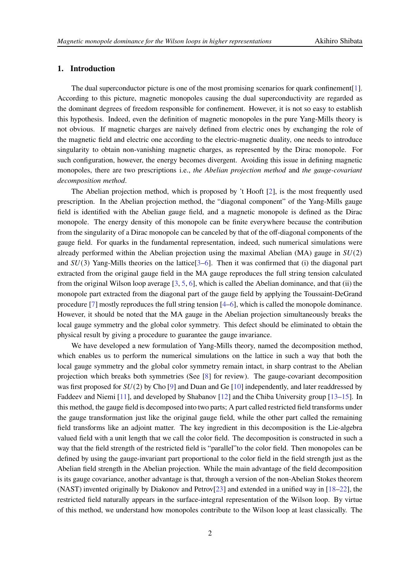## **1. Introduction**

The dual superconductor picture is one of the most promising scenarios for quark confinement [\[1](#page-7-0)]. According to this picture, magnetic monopoles causing the dual superconductivity are regarded as the dominant degrees of freedom responsible for confinement. However, it is not so easy to establish this hypothesis. Indeed, even the definition of magnetic monopoles in the pure Yang-Mills theory is not obvious. If magnetic charges are naively defined from electric ones by exchanging the role of the magnetic field and electric one according to the electric-magnetic duality, one needs to introduce singularity to obtain non-vanishing magnetic charges, as represented by the Dirac monopole. For such configuration, however, the energy becomes divergent. Avoiding this issue in defining magnetic monopoles, there are two prescriptions i.e., *the Abelian projection method* and *the gauge-covariant decomposition method*.

The Abelian projection method, which is proposed by 't Hooft [\[2\]](#page-7-1), is the most frequently used prescription. In the Abelian projection method, the "diagonal component" of the Yang-Mills gauge field is identified with the Abelian gauge field, and a magnetic monopole is defined as the Dirac monopole. The energy density of this monopole can be finite everywhere because the contribution from the singularity of a Dirac monopole can be canceled by that of the off-diagonal components of the gauge field. For quarks in the fundamental representation, indeed, such numerical simulations were already performed within the Abelian projection using the maximal Abelian (MA) gauge in  $SU(2)$ and  $SU(3)$  Yang-Mills theories on the lattice[\[3](#page-7-2)[–6](#page-7-3)]. Then it was confirmed that (i) the diagonal part extracted from the original gauge field in the MA gauge reproduces the full string tension calculated from the original Wilson loop average [\[3,](#page-7-2) [5](#page-7-4), [6\]](#page-7-3), which is called the Abelian dominance, and that (ii) the monopole part extracted from the diagonal part of the gauge field by applying the Toussaint-DeGrand procedure [\[7](#page-7-5)] mostly reproduces the full string tension [\[4](#page-7-6)[–6](#page-7-3)], which is called the monopole dominance. However, it should be noted that the MA gauge in the Abelian projection simultaneously breaks the local gauge symmetry and the global color symmetry. This defect should be eliminated to obtain the physical result by giving a procedure to guarantee the gauge invariance.

We have developed a new formulation of Yang-Mills theory, named the decomposition method, which enables us to perform the numerical simulations on the lattice in such a way that both the local gauge symmetry and the global color symmetry remain intact, in sharp contrast to the Abelian projection which breaks both symmetries (See [\[8\]](#page-7-7) for review). The gauge-covariant decomposition was first proposed for  $SU(2)$  by Cho [\[9](#page-7-8)] and Duan and Ge [\[10\]](#page-7-9) independently, and later readdressed by Faddeev and Niemi [\[11\]](#page-7-10), and developed by Shabanov [\[12](#page-7-11)] and the Chiba University group [\[13](#page-7-12)[–15\]](#page-7-13). In this method, the gauge field is decomposed into two parts; A part called restricted field transforms under the gauge transformation just like the original gauge field, while the other part called the remaining field transforms like an adjoint matter. The key ingredient in this decomposition is the Lie-algebra valued field with a unit length that we call the color field. The decomposition is constructed in such a way that the field strength of the restricted field is "parallel"to the color field. Then monopoles can be defined by using the gauge-invariant part proportional to the color field in the field strength just as the Abelian field strength in the Abelian projection. While the main advantage of the field decomposition is its gauge covariance, another advantage is that, through a version of the non-Abelian Stokes theorem (NAST) invented originally by Diakonov and Petrov[\[23](#page-8-0)] and extended in a unified way in [\[18](#page-8-1)[–22\]](#page-8-2), the restricted field naturally appears in the surface-integral representation of the Wilson loop. By virtue of this method, we understand how monopoles contribute to the Wilson loop at least classically. The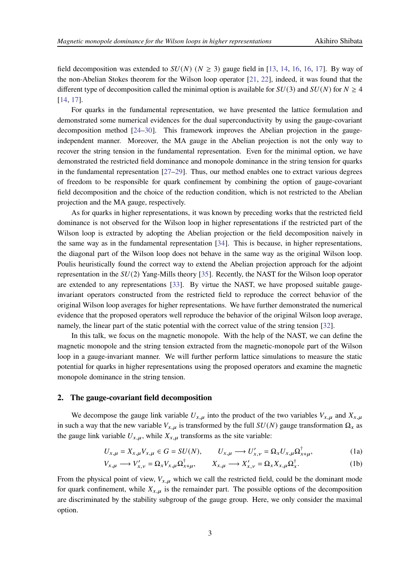field decomposition was extended to  $SU(N)$  ( $N \geq 3$ ) gauge field in [\[13,](#page-7-12) [14,](#page-7-14) [16,](#page-8-3) [16](#page-8-3), [17](#page-8-4)]. By way of the non-Abelian Stokes theorem for the Wilson loop operator [\[21,](#page-8-5) [22\]](#page-8-2), indeed, it was found that the different type of decomposition called the minimal option is available for  $SU(3)$  and  $SU(N)$  for  $N \geq 4$ [\[14,](#page-7-14) [17](#page-8-4)].

For quarks in the fundamental representation, we have presented the lattice formulation and demonstrated some numerical evidences for the dual superconductivity by using the gauge-covariant decomposition method [\[24](#page-8-6)[–30](#page-8-7)]. This framework improves the Abelian projection in the gaugeindependent manner. Moreover, the MA gauge in the Abelian projection is not the only way to recover the string tension in the fundamental representation. Even for the minimal option, we have demonstrated the restricted field dominance and monopole dominance in the string tension for quarks in the fundamental representation  $[27-29]$ . Thus, our method enables one to extract various degrees of freedom to be responsible for quark confinement by combining the option of gauge-covariant field decomposition and the choice of the reduction condition, which is not restricted to the Abelian projection and the MA gauge, respectively.

As for quarks in higher representations, it was known by preceding works that the restricted field dominance is not observed for the Wilson loop in higher representations if the restricted part of the Wilson loop is extracted by adopting the Abelian projection or the field decomposition naively in the same way as in the fundamental representation [\[34](#page-8-10)]. This is because, in higher representations, the diagonal part of the Wilson loop does not behave in the same way as the original Wilson loop. Poulis heuristically found the correct way to extend the Abelian projection approach for the adjoint representation in the  $SU(2)$  Yang-Mills theory [\[35](#page-8-11)]. Recently, the NAST for the Wilson loop operator are extended to any representations [\[33](#page-8-12)]. By virtue the NAST, we have proposed suitable gaugeinvariant operators constructed from the restricted field to reproduce the correct behavior of the original Wilson loop averages for higher representations. We have further demonstrated the numerical evidence that the proposed operators well reproduce the behavior of the original Wilson loop average, namely, the linear part of the static potential with the correct value of the string tension [\[32\]](#page-8-13).

In this talk, we focus on the magnetic monopole. With the help of the NAST, we can define the magnetic monopole and the string tension extracted from the magnetic-monopole part of the Wilson loop in a gauge-invariant manner. We will further perform lattice simulations to measure the static potential for quarks in higher representations using the proposed operators and examine the magnetic monopole dominance in the string tension.

#### **2. The gauge-covariant field decomposition**

We decompose the gauge link variable  $U_{x,\mu}$  into the product of the two variables  $V_{x,\mu}$  and  $X_{x,\mu}$ in such a way that the new variable  $V_{x,\mu}$  is transformed by the full  $SU(N)$  gauge transformation  $\Omega_x$  as the gauge link variable  $U_{x,\mu}$ , while  $X_{x,\mu}$  transforms as the site variable:

$$
U_{x,\mu} = X_{x,\mu} V_{x,\mu} \in G = SU(N), \qquad U_{x,\mu} \longrightarrow U'_{x,\nu} = \Omega_x U_{x,\mu} \Omega_{x+\mu}^{\dagger}, \tag{1a}
$$

$$
V_{x,\mu} \longrightarrow V'_{x,\nu} = \Omega_x V_{x,\mu} \Omega_{x+\mu}^{\dagger}, \qquad X_{x,\mu} \longrightarrow X'_{x,\nu} = \Omega_x X_{x,\mu} \Omega_x^{\dagger}.
$$
 (1b)

From the physical point of view,  $V_{x,\mu}$  which we call the restricted field, could be the dominant mode for quark confinement, while  $X_{x,u}$  is the remainder part. The possible options of the decomposition are discriminated by the stability subgroup of the gauge group. Here, we only consider the maximal option.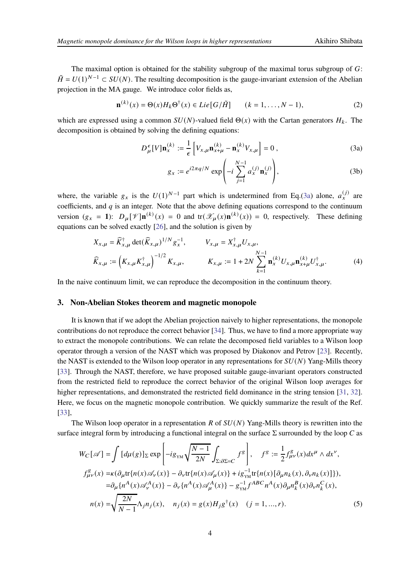The maximal option is obtained for the stability subgroup of the maximal torus subgroup of  $G$ :  $\tilde{H} = U(1)^{N-1} \subset SU(N)$ . The resulting decomposition is the gauge-invariant extension of the Abelian projection in the MA gauge. We introduce color fields as,

$$
\mathbf{n}^{(k)}(x) = \Theta(x)H_k\Theta^{\dagger}(x) \in Lie\big[G/\tilde{H}\big] \qquad (k = 1, \dots, N-1),
$$
 (2)

which are expressed using a common  $SU(N)$ -valued field  $\Theta(x)$  with the Cartan generators  $H_k$ . The decomposition is obtained by solving the defining equations:

$$
D_{\mu}^{\epsilon}[V]\mathbf{n}_x^{(k)} := \frac{1}{\epsilon} \left[ V_{x,\mu} \mathbf{n}_{x+\mu}^{(k)} - \mathbf{n}_x^{(k)} V_{x,\mu} \right] = 0 ,
$$
 (3a)

<span id="page-3-1"></span><span id="page-3-0"></span>
$$
g_x := e^{i2\pi q/N} \exp\left(-i\sum_{j=1}^{N-1} a_x^{(j)} \mathbf{n}_x^{(j)}\right),\tag{3b}
$$

where, the variable  $g_x$  is the  $U(1)^{N-1}$  part which is undetermined from Eq.[\(3a\)](#page-3-0) alone,  $a_x^{(j)}$  are coefficients, and  $q$  is an integer. Note that the above defining equations correspond to the continuum version  $(g_x = 1)$ :  $D_\mu[\mathcal{V}] \mathbf{n}^{(k)}(x) = 0$  and  $\text{tr}(\mathcal{X}_\mu(x) \mathbf{n}^{(k)}(x)) = 0$ , respectively. These defining equations can be solved exactly [\[26](#page-8-14)], and the solution is given by

$$
X_{x,\mu} = \widehat{K}_{x,\mu}^{\dagger} \det(\widehat{K}_{x,\mu})^{1/N} g_{x}^{-1}, \qquad V_{x,\mu} = X_{x,\mu}^{\dagger} U_{x,\mu},
$$
  

$$
\widehat{K}_{x,\mu} := \left(K_{x,\mu} K_{x,\mu}^{\dagger}\right)^{-1/2} K_{x,\mu}, \qquad K_{x,\mu} := 1 + 2N \sum_{k=1}^{N-1} \mathbf{n}_{x}^{(k)} U_{x,\mu} \mathbf{n}_{x+\mu}^{(k)} U_{x,\mu}^{\dagger}.
$$
 (4)

In the naive continuum limit, we can reproduce the decomposition in the continuum theory.

#### **3. Non-Abelian Stokes theorem and magnetic monopole**

It is known that if we adopt the Abelian projection naively to higher representations, the monopole contributions do not reproduce the correct behavior [\[34](#page-8-10)]. Thus, we have to find a more appropriate way to extract the monopole contributions. We can relate the decomposed field variables to a Wilson loop operator through a version of the NAST which was proposed by Diakonov and Petrov [\[23](#page-8-0)]. Recently, the NAST is extended to the Wilson loop operator in any representations for  $SU(N)$  Yang-Mills theory [\[33\]](#page-8-12). Through the NAST, therefore, we have proposed suitable gauge-invariant operators constructed from the restricted field to reproduce the correct behavior of the original Wilson loop averages for higher representations, and demonstrated the restricted field dominance in the string tension [\[31](#page-8-15), [32\]](#page-8-13). Here, we focus on the magnetic monopole contribution. We quickly summarize the result of the Ref. [\[33\]](#page-8-12),

The Wilson loop operator in a representation R of  $SU(N)$  Yang-Mills theory is rewritten into the surface integral form by introducing a functional integral on the surface  $\Sigma$  surrounded by the loop C as

$$
W_C[\mathscr{A}] = \int [d\mu(g)]_{\Sigma} \exp\left[-ig_{YM}\sqrt{\frac{N-1}{2N}} \int_{\Sigma:\partial\Sigma=C} f^g\right], \quad f^g := \frac{1}{2} f_{\mu\nu}^g(x) dx^{\mu} \wedge dx^{\nu},
$$
  
\n
$$
f_{\mu\nu}^g(x) = \kappa (\partial_{\mu} \text{tr}\{n(x) \mathscr{A}_{\nu}(x)\} - \partial_{\nu} \text{tr}\{n(x) \mathscr{A}_{\mu}(x)\} + ig_{YM}^{-1} \text{tr}\{n(x) [\partial_{\mu} n_k(x), \partial_{\nu} n_k(x)]\}),
$$
  
\n
$$
= \partial_{\mu} \{n^A(x) \mathscr{A}_{\nu}^A(x)\} - \partial_{\nu} \{n^A(x) \mathscr{A}_{\mu}^A(x)\} - g_{YM}^{-1} f^{ABC} n^A(x) \partial_{\mu} n_k^B(x) \partial_{\nu} n_k^C(x),
$$
  
\n
$$
n(x) = \sqrt{\frac{2N}{N-1}} \Lambda_j n_j(x), \quad n_j(x) = g(x) H_j g^{\dagger}(x) \quad (j = 1, ..., r).
$$
 (5)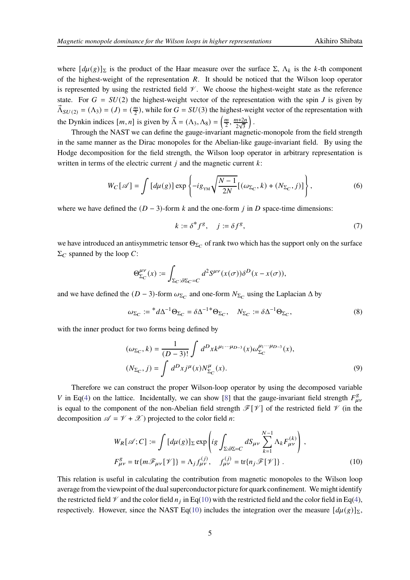where  $[d\mu(g)]_{\Sigma}$  is the product of the Haar measure over the surface  $\Sigma$ ,  $\Lambda_k$  is the k-th component of the highest-weight of the representation  $R$ . It should be noticed that the Wilson loop operator is represented by using the restricted field  $\mathcal V$ . We choose the highest-weight state as the reference state. For  $G = SU(2)$  the highest-weight vector of the representation with the spin J is given by  $\vec{\Lambda}_{SU(2)} = (\Lambda_3) = (J) = (\frac{m}{2})$  $\frac{m}{2}$ ), while for  $G = SU(3)$  the highest-weight vector of the representation with the Dynkin indices  $[m, n]$  is given by  $\vec{\Lambda} = (\Lambda_3, \Lambda_8) = \left(\frac{m}{2}\right)$  $\frac{m}{2}, \frac{m+2n}{2\sqrt{3}}$  $\overline{\phantom{a}}$ 

Through the NAST we can define the gauge-invariant magnetic-monopole from the field strength in the same manner as the Dirac monopoles for the Abelian-like gauge-invariant field. By using the Hodge decomposition for the field strength, the Wilson loop operator in arbitrary representation is written in terms of the electric current  $j$  and the magnetic current  $k$ :

<span id="page-4-1"></span>
$$
W_C[\mathscr{A}] = \int \left[ d\mu(g) \right] \exp \left\{ -ig_{\text{YM}} \sqrt{\frac{N-1}{2N}} \left[ (\omega_{\Sigma_C}, k) + (N_{\Sigma_C}, j) \right] \right\},\tag{6}
$$

where we have defined the  $(D-3)$ -form k and the one-form i in D space-time dimensions:

$$
k := \delta^* f^g, \quad j := \delta f^g,\tag{7}
$$

we have introduced an antisymmetric tensor  $\Theta_{\Sigma_C}$  of rank two which has the support only on the surface  $\Sigma_C$  spanned by the loop C:

$$
\Theta^{\mu\nu}_{\Sigma_C}(x) := \int_{\Sigma_C : \partial \Sigma_C = C} d^2 S^{\mu\nu}(x(\sigma)) \delta^D(x - x(\sigma)),
$$

and we have defined the  $(D-3)$ -form  $\omega_{\Sigma_C}$  and one-form  $N_{\Sigma_C}$  using the Laplacian  $\Delta$  by

$$
\omega_{\Sigma_C} := {}^*d\Delta^{-1}\Theta_{\Sigma_C} = \delta\Delta^{-1}{}^*\Theta_{\Sigma_C}, \quad N_{\Sigma_C} := \delta\Delta^{-1}\Theta_{\Sigma_C},\tag{8}
$$

with the inner product for two forms being defined by

$$
(\omega_{\Sigma_C}, k) = \frac{1}{(D-3)!} \int d^D x k^{\mu_1 \cdots \mu_{D-3}}(x) \omega_{\Sigma_C}^{\mu_1 \cdots \mu_{D-3}}(x),
$$
  

$$
(N_{\Sigma_C}, j) = \int d^D x j^{\mu}(x) N_{\Sigma_C}^{\mu}(x).
$$
 (9)

Therefore we can construct the proper Wilson-loop operator by using the decomposed variable V in Eq[\(4\)](#page-3-1) on the lattice. Incidentally, we can show [\[8](#page-7-7)] that the gauge-invariant field strength  $F_{\mu\nu}^g$ is equal to the component of the non-Abelian field strength  $\mathcal{F}[\mathcal{V}]$  of the restricted field  $\mathcal V$  (in the decomposition  $\mathscr{A} = \mathscr{V} + \mathscr{X}$ ) projected to the color field *n*:

<span id="page-4-0"></span>
$$
W_R[\mathscr{A}; C] := \int [d\mu(g)]_{\Sigma} \exp \left( ig \int_{\Sigma : \partial \Sigma = C} dS_{\mu\nu} \sum_{k=1}^{N-1} \Lambda_k F_{\mu\nu}^{(k)} \right),
$$
  

$$
F_{\mu\nu}^g = \text{tr}\{ m\mathscr{F}_{\mu\nu}[\mathscr{V}]\} = \Lambda_j f_{\mu\nu}^{(j)}, \quad f_{\mu\nu}^{(j)} = \text{tr}\{ n_j \mathscr{F}[\mathscr{V}]\}.
$$
 (10)

This relation is useful in calculating the contribution from magnetic monopoles to the Wilson loop average from the viewpoint of the dual superconductor picture for quark confinement. We might identify the restricted field  $\mathcal V$  and the color field  $n_j$  in Eq[\(10\)](#page-4-0) with the restricted field and the color field in Eq[\(4\)](#page-3-1), respectively. However, since the NAST Eq[\(10\)](#page-4-0) includes the integration over the measure  $\left[d\mu(g)\right]_{\Sigma}$ ,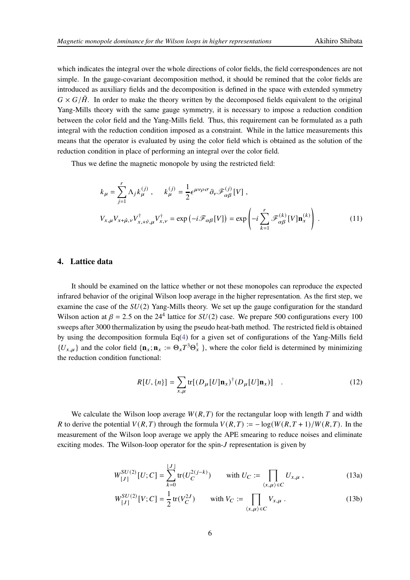which indicates the integral over the whole directions of color fields, the field correspondences are not simple. In the gauge-covariant decomposition method, it should be remined that the color fields are introduced as auxiliary fields and the decomposition is defined in the space with extended symmetry  $G \times G/\tilde{H}$ . In order to make the theory written by the decomposed fields equivalent to the original Yang-Mills theory with the same gauge symmetry, it is necessary to impose a reduction condition between the color field and the Yang-Mills field. Thus, this requirement can be formulated as a path integral with the reduction condition imposed as a constraint. While in the lattice measurements this means that the operator is evaluated by using the color field which is obtained as the solution of the reduction condition in place of performing an integral over the color field.

Thus we define the magnetic monopole by using the restricted field:

$$
k_{\mu} = \sum_{j=1}^{r} \Lambda_{j} k_{\mu}^{(j)}, \qquad k_{\mu}^{(j)} = \frac{1}{2} \epsilon^{\mu \nu \rho \sigma} \partial_{\nu} \mathcal{F}_{\alpha \beta}^{(j)}[V],
$$
  

$$
V_{x,\mu} V_{x+\hat{\mu},\nu} V_{x,+\hat{\nu},\mu}^{\dagger} V_{x,\nu}^{\dagger} = \exp(-i \mathcal{F}_{\alpha \beta}[V]) = \exp\left(-i \sum_{k=1}^{r} \mathcal{F}_{\alpha \beta}^{(k)}[V] \mathbf{n}_{x}^{(k)}\right).
$$
 (11)

### **4. Lattice data**

It should be examined on the lattice whether or not these monopoles can reproduce the expected infrared behavior of the original Wilson loop average in the higher representation. As the first step, we examine the case of the  $SU(2)$  Yang-Mills theory. We set up the gauge configuration for the standard Wilson action at  $\beta = 2.5$  on the 24<sup>4</sup> lattice for  $SU(2)$  case. We prepare 500 configurations every 100 sweeps after 3000 thermalization by using the pseudo heat-bath method. The restricted field is obtained by using the decomposition formula Eq[\(4\)](#page-3-1) for a given set of configurations of the Yang-Mills field  ${U_{x,\mu}}$  and the color field  ${\bf \{ n}_x : = \Theta_x T^3 \Theta_x^{\dagger} \}$ , where the color field is determined by minimizing the reduction condition functional:

<span id="page-5-0"></span>
$$
R[U,\{n\}] = \sum_{x,\mu} \text{tr}[(D_{\mu}[U]\mathbf{n}_x)^{\dagger}(D_{\mu}[U]\mathbf{n}_x)] \quad . \tag{12}
$$

We calculate the Wilson loop average  $W(R, T)$  for the rectangular loop with length T and width R to derive the potential  $V(R, T)$  through the formula  $V(R, T) := -\log(W(R, T + 1)/W(R, T)$ . In the measurement of the Wilson loop average we apply the APE smearing to reduce noises and eliminate exciting modes. The Wilson-loop operator for the spin- $J$  representation is given by

$$
W_{[J]}^{SU(2)}[U;C] = \sum_{k=0}^{\lfloor J \rfloor} \text{tr}(U_C^{2(j-k)}) \qquad \text{with } U_C := \prod_{\langle x,\mu \rangle \in C} U_{x,\mu} , \qquad (13a)
$$

<span id="page-5-1"></span>
$$
W_{[J]}^{SU(2)}[V;C] = \frac{1}{2} \text{tr}(V_C^{2J}) \qquad \text{with } V_C := \prod_{\langle x,\mu \rangle \in C} V_{x,\mu} \,. \tag{13b}
$$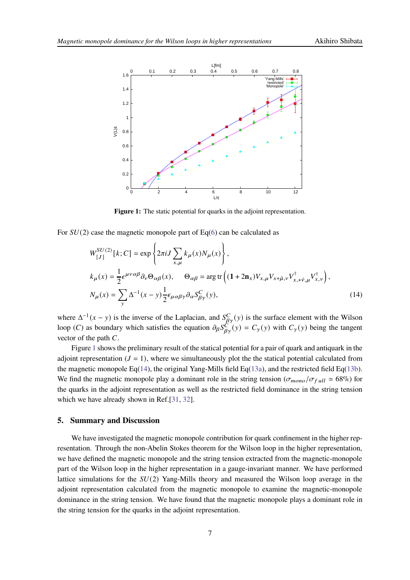<span id="page-6-0"></span>

<span id="page-6-1"></span>**Figure 1:** The static potential for quarks in the adjoint representation.

For  $SU(2)$  case the magnetic monopole part of Eq[\(6\)](#page-4-1) can be calculated as

$$
W_{[J]}^{SU(2)}[k;C] = \exp\left\{2\pi i J \sum_{x,\mu} k_{\mu}(x) N_{\mu}(x)\right\},\
$$
  
\n
$$
k_{\mu}(x) = \frac{1}{2} \epsilon^{\mu\nu\alpha\beta} \partial_{\nu} \Theta_{\alpha\beta}(x), \qquad \Theta_{\alpha\beta} = \arg \text{tr}\left((1+2\mathbf{n}_{x}) V_{x,\mu} V_{x+\hat{\mu},\nu} V_{x+\hat{\nu},\mu}^{\dagger} V_{x,\nu}^{\dagger}\right),\
$$
  
\n
$$
N_{\mu}(x) = \sum_{y} \Delta^{-1}(x-y) \frac{1}{2} \epsilon_{\mu\alpha\beta\gamma} \partial_{\alpha} S_{\beta\gamma}^{C}(y), \qquad (14)
$$

where  $\Delta^{-1}(x - y)$  is the inverse of the Laplacian, and  $S_{\beta y}^C(y)$  is the surface element with the Wilson loop (*C*) as boundary which satisfies the equation  $\partial_{\beta} S^C(y) = C_{\gamma}(y)$  with  $C_{\gamma}(y)$  being the tangent vector of the path  $C$ .

Figure [1](#page-6-0) shows the preliminary result of the statical potential for a pair of quark and antiquark in the adjoint representation  $(J = 1)$ , where we simultaneously plot the the statical potential calculated from the magnetic monopole Eq[\(14\)](#page-6-1), the original Yang-Mills field Eq[\(13a\)](#page-5-0), and the restricted field Eq[\(13b\)](#page-5-1). We find the magnetic monopole play a dominant role in the string tension ( $\sigma_{mono}/\sigma_{full} \approx 68\%$ ) for the quarks in the adjoint representation as well as the restricted field dominance in the string tension which we have already shown in Ref.[\[31,](#page-8-15) [32](#page-8-13)].

#### **5. Summary and Discussion**

We have investigated the magnetic monopole contribution for quark confinement in the higher representation. Through the non-Abelin Stokes theorem for the Wilson loop in the higher representation, we have defined the magnetic monopole and the string tension extracted from the magnetic-monopole part of the Wilson loop in the higher representation in a gauge-invariant manner. We have performed lattice simulations for the  $SU(2)$  Yang-Mills theory and measured the Wilson loop average in the adjoint representation calculated from the magnetic monopole to examine the magnetic-monopole dominance in the string tension. We have found that the magnetic monopole plays a dominant role in the string tension for the quarks in the adjoint representation.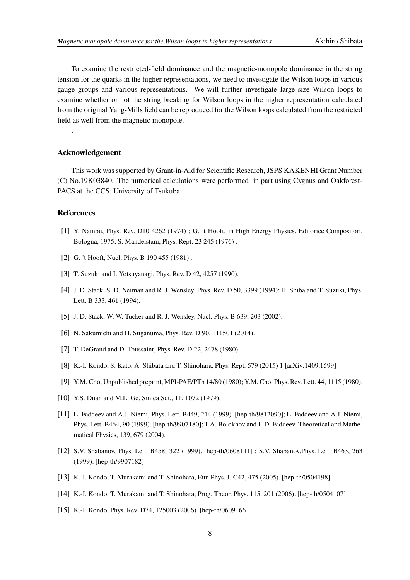To examine the restricted-field dominance and the magnetic-monopole dominance in the string tension for the quarks in the higher representations, we need to investigate the Wilson loops in various gauge groups and various representations. We will further investigate large size Wilson loops to examine whether or not the string breaking for Wilson loops in the higher representation calculated from the original Yang-Mills field can be reproduced for the Wilson loops calculated from the restricted field as well from the magnetic monopole.

## **Acknowledgement**

This work was supported by Grant-in-Aid for Scientific Research, JSPS KAKENHI Grant Number (C) No.19K03840. The numerical calculations were performed in part using Cygnus and Oakforest-PACS at the CCS, University of Tsukuba.

#### **References**

.

- <span id="page-7-0"></span>[1] Y. Nambu, Phys. Rev. D10 4262 (1974) ; G. 't Hooft, in High Energy Physics, Editorice Compositori, Bologna, 1975; S. Mandelstam, Phys. Rept. 23 245 (1976) .
- <span id="page-7-1"></span>[2] G. 't Hooft, Nucl. Phys. B 190 455 (1981).
- <span id="page-7-2"></span>[3] T. Suzuki and I. Yotsuyanagi, Phys. Rev. D 42, 4257 (1990).
- <span id="page-7-6"></span>[4] J. D. Stack, S. D. Neiman and R. J. Wensley, Phys. Rev. D 50, 3399 (1994); H. Shiba and T. Suzuki, Phys. Lett. B 333, 461 (1994).
- <span id="page-7-4"></span>[5] J. D. Stack, W. W. Tucker and R. J. Wensley, Nucl. Phys. B 639, 203 (2002).
- <span id="page-7-3"></span>[6] N. Sakumichi and H. Suganuma, Phys. Rev. D 90, 111501 (2014).
- <span id="page-7-5"></span>[7] T. DeGrand and D. Toussaint, Phys. Rev. D 22, 2478 (1980).
- <span id="page-7-7"></span>[8] K.-I. Kondo, S. Kato, A. Shibata and T. Shinohara, Phys. Rept. 579 (2015) 1 [arXiv:1409.1599]
- <span id="page-7-8"></span>[9] Y.M. Cho, Unpublished preprint, MPI-PAE/PTh 14/80 (1980); Y.M. Cho, Phys. Rev. Lett. 44, 1115 (1980).
- <span id="page-7-9"></span>[10] Y.S. Duan and M.L. Ge, Sinica Sci., 11, 1072 (1979).
- <span id="page-7-10"></span>[11] L. Faddeev and A.J. Niemi, Phys. Lett. B449, 214 (1999). [hep-th/9812090]; L. Faddeev and A.J. Niemi, Phys. Lett. B464, 90 (1999). [hep-th/9907180]; T.A. Bolokhov and L.D. Faddeev, Theoretical and Mathematical Physics, 139, 679 (2004).
- <span id="page-7-11"></span>[12] S.V. Shabanov, Phys. Lett. B458, 322 (1999). [hep-th/0608111] ; S.V. Shabanov,Phys. Lett. B463, 263 (1999). [hep-th/9907182]
- <span id="page-7-12"></span>[13] K.-I. Kondo, T. Murakami and T. Shinohara, Eur. Phys. J. C42, 475 (2005). [hep-th/0504198]
- <span id="page-7-14"></span>[14] K.-I. Kondo, T. Murakami and T. Shinohara, Prog. Theor. Phys. 115, 201 (2006). [hep-th/0504107]
- <span id="page-7-13"></span>[15] K.-I. Kondo, Phys. Rev. D74, 125003 (2006). [hep-th/0609166